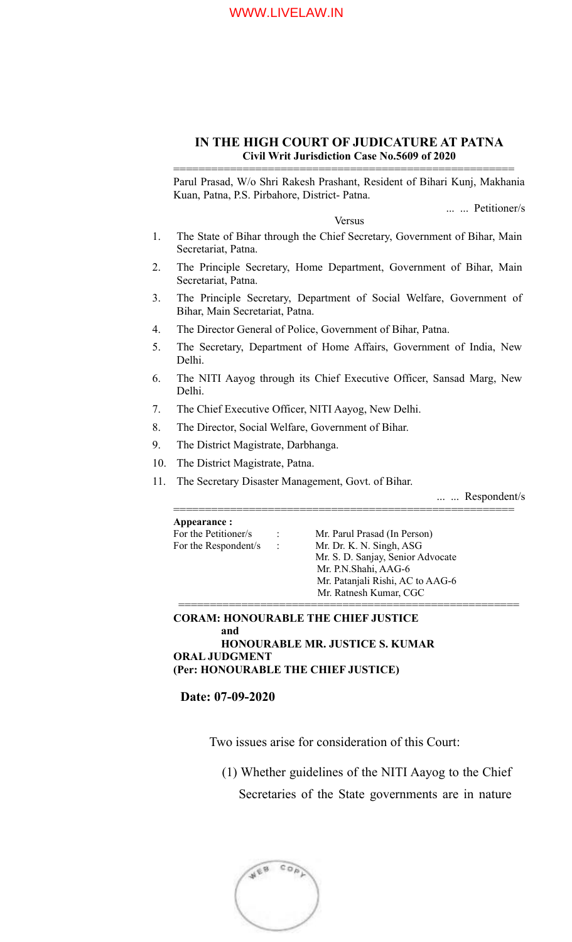#### WWW.LIVELAW.IN

### **IN THE HIGH COURT OF JUDICATURE AT PATNA Civil Writ Jurisdiction Case No.5609 of 2020**

Parul Prasad, W/o Shri Rakesh Prashant, Resident of Bihari Kunj, Makhania Kuan, Patna, P.S. Pirbahore, District- Patna.

======================================================

... ... Petitioner/s

Versus

- 1. The State of Bihar through the Chief Secretary, Government of Bihar, Main Secretariat, Patna.
- 2. The Principle Secretary, Home Department, Government of Bihar, Main Secretariat, Patna.
- 3. The Principle Secretary, Department of Social Welfare, Government of Bihar, Main Secretariat, Patna.
- 4. The Director General of Police, Government of Bihar, Patna.
- 5. The Secretary, Department of Home Affairs, Government of India, New Delhi.
- 6. The NITI Aayog through its Chief Executive Officer, Sansad Marg, New Delhi.
- 7. The Chief Executive Officer, NITI Aayog, New Delhi.
- 8. The Director, Social Welfare, Government of Bihar.
- 9. The District Magistrate, Darbhanga.
- 10. The District Magistrate, Patna.
- 11. The Secretary Disaster Management, Govt. of Bihar.

... ... Respondent/s

====================================================== **Appearance :** For the Petitioner/s : Mr. Parul Prasad (In Person) For the Respondent/s : Mr. Dr. K. N. Singh, ASG Mr. S. D. Sanjay, Senior Advocate Mr. P.N.Shahi, AAG-6 Mr. Patanjali Rishi, AC to AAG-6 Mr. Ratnesh Kumar, CGC ======================================================

**CORAM: HONOURABLE THE CHIEF JUSTICE and HONOURABLE MR. JUSTICE S. KUMAR ORAL JUDGMENT**

**(Per: HONOURABLE THE CHIEF JUSTICE)**

**Date: 07-09-2020**

Two issues arise for consideration of this Court:

(1) Whether guidelines of the NITI Aayog to the Chief

Secretaries of the State governments are in nature

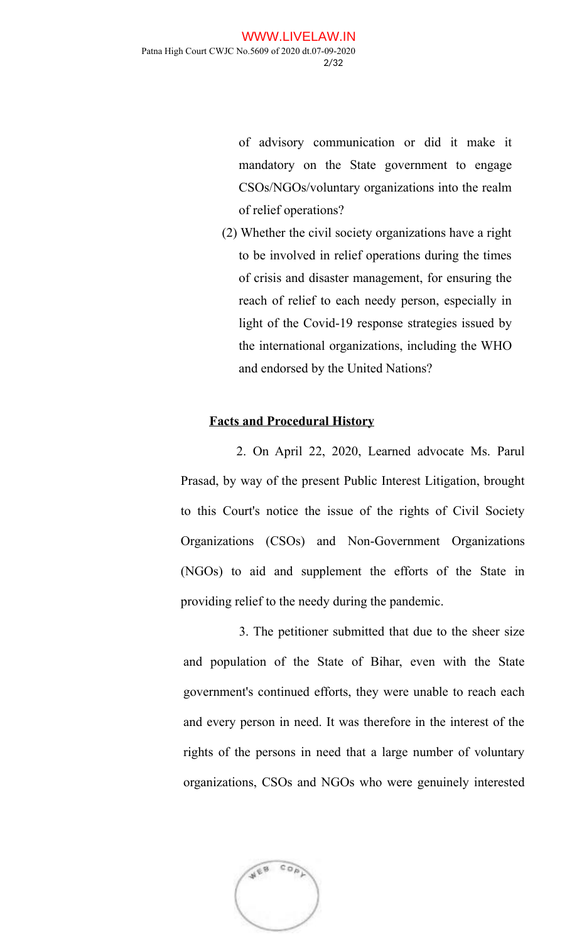of advisory communication or did it make it mandatory on the State government to engage CSOs/NGOs/voluntary organizations into the realm of relief operations?

(2) Whether the civil society organizations have a right to be involved in relief operations during the times of crisis and disaster management, for ensuring the reach of relief to each needy person, especially in light of the Covid-19 response strategies issued by the international organizations, including the WHO and endorsed by the United Nations?

### **Facts and Procedural History**

2. On April 22, 2020, Learned advocate Ms. Parul Prasad, by way of the present Public Interest Litigation, brought to this Court's notice the issue of the rights of Civil Society Organizations (CSOs) and Non-Government Organizations (NGOs) to aid and supplement the efforts of the State in providing relief to the needy during the pandemic.

3. The petitioner submitted that due to the sheer size and population of the State of Bihar, even with the State government's continued efforts, they were unable to reach each and every person in need. It was therefore in the interest of the rights of the persons in need that a large number of voluntary organizations, CSOs and NGOs who were genuinely interested

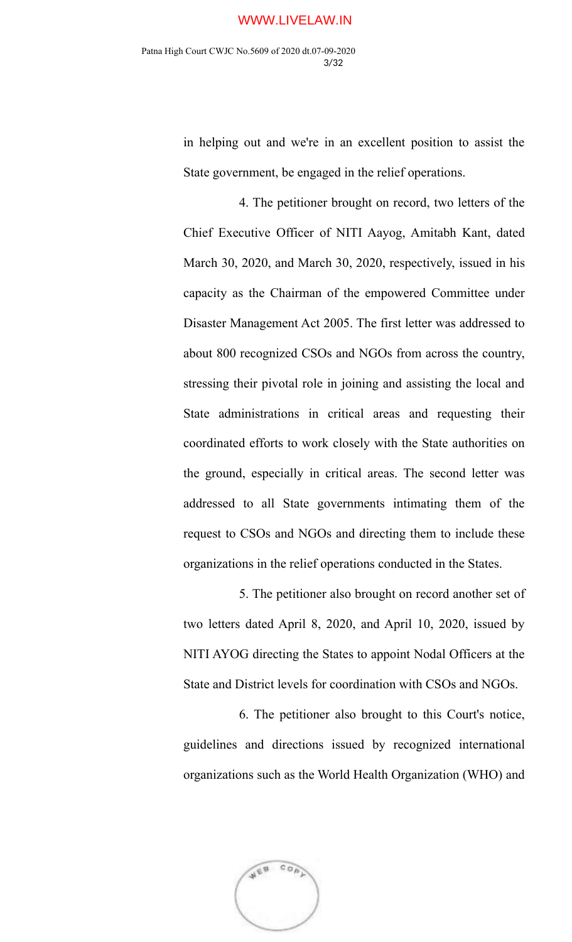in helping out and we're in an excellent position to assist the State government, be engaged in the relief operations.

4. The petitioner brought on record, two letters of the Chief Executive Officer of NITI Aayog, Amitabh Kant, dated March 30, 2020, and March 30, 2020, respectively, issued in his capacity as the Chairman of the empowered Committee under Disaster Management Act 2005. The first letter was addressed to about 800 recognized CSOs and NGOs from across the country, stressing their pivotal role in joining and assisting the local and State administrations in critical areas and requesting their coordinated efforts to work closely with the State authorities on the ground, especially in critical areas. The second letter was addressed to all State governments intimating them of the request to CSOs and NGOs and directing them to include these organizations in the relief operations conducted in the States.

5. The petitioner also brought on record another set of two letters dated April 8, 2020, and April 10, 2020, issued by NITI AYOG directing the States to appoint Nodal Officers at the State and District levels for coordination with CSOs and NGOs.

6. The petitioner also brought to this Court's notice, guidelines and directions issued by recognized international organizations such as the World Health Organization (WHO) and

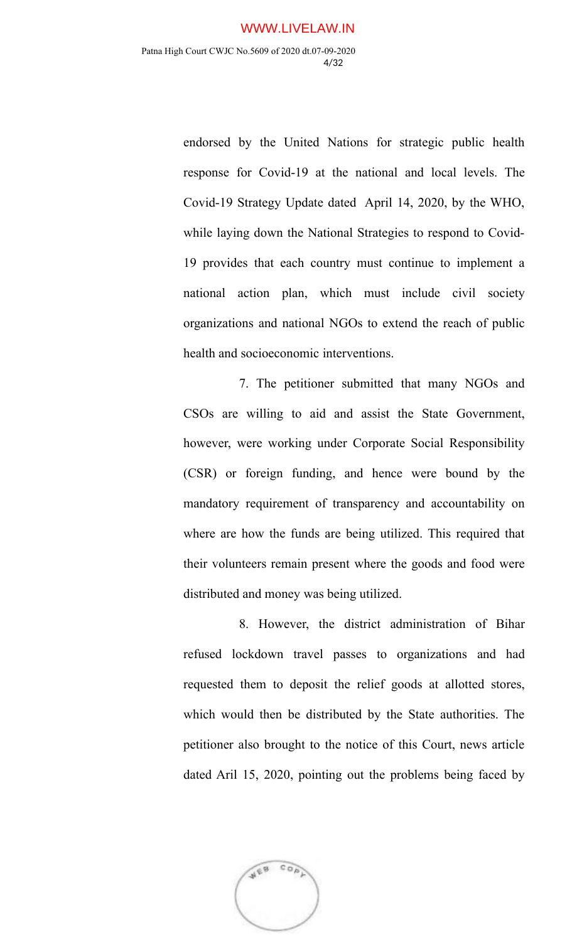endorsed by the United Nations for strategic public health response for Covid-19 at the national and local levels. The Covid-19 Strategy Update dated April 14, 2020, by the WHO, while laying down the National Strategies to respond to Covid-19 provides that each country must continue to implement a national action plan, which must include civil society organizations and national NGOs to extend the reach of public health and socioeconomic interventions.

7. The petitioner submitted that many NGOs and CSOs are willing to aid and assist the State Government, however, were working under Corporate Social Responsibility (CSR) or foreign funding, and hence were bound by the mandatory requirement of transparency and accountability on where are how the funds are being utilized. This required that their volunteers remain present where the goods and food were distributed and money was being utilized.

8. However, the district administration of Bihar refused lockdown travel passes to organizations and had requested them to deposit the relief goods at allotted stores, which would then be distributed by the State authorities. The petitioner also brought to the notice of this Court, news article dated Aril 15, 2020, pointing out the problems being faced by

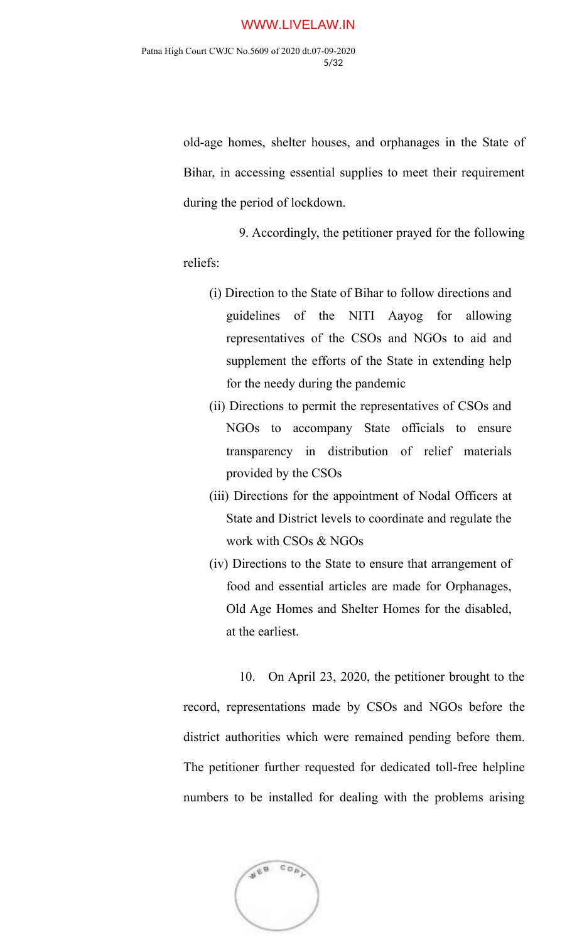old-age homes, shelter houses, and orphanages in the State of Bihar, in accessing essential supplies to meet their requirement during the period of lockdown.

9. Accordingly, the petitioner prayed for the following reliefs:

- (i) Direction to the State of Bihar to follow directions and guidelines of the NITI Aayog for allowing representatives of the CSOs and NGOs to aid and supplement the efforts of the State in extending help for the needy during the pandemic
- (ii) Directions to permit the representatives of CSOs and NGOs to accompany State officials to ensure transparency in distribution of relief materials provided by the CSOs
- (iii) Directions for the appointment of Nodal Officers at State and District levels to coordinate and regulate the work with CSOs & NGOs
- (iv) Directions to the State to ensure that arrangement of food and essential articles are made for Orphanages, Old Age Homes and Shelter Homes for the disabled, at the earliest.

10. On April 23, 2020, the petitioner brought to the record, representations made by CSOs and NGOs before the district authorities which were remained pending before them. The petitioner further requested for dedicated toll-free helpline numbers to be installed for dealing with the problems arising

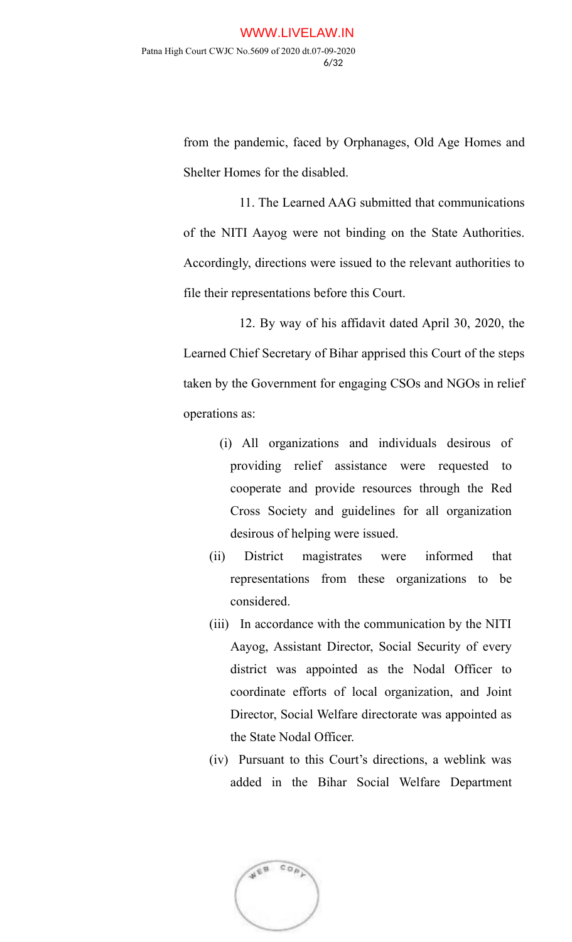from the pandemic, faced by Orphanages, Old Age Homes and Shelter Homes for the disabled.

11. The Learned AAG submitted that communications of the NITI Aayog were not binding on the State Authorities. Accordingly, directions were issued to the relevant authorities to file their representations before this Court.

12. By way of his affidavit dated April 30, 2020, the Learned Chief Secretary of Bihar apprised this Court of the steps taken by the Government for engaging CSOs and NGOs in relief operations as:

- (i) All organizations and individuals desirous of providing relief assistance were requested to cooperate and provide resources through the Red Cross Society and guidelines for all organization desirous of helping were issued.
- (ii) District magistrates were informed that representations from these organizations to be considered.
- (iii) In accordance with the communication by the NITI Aayog, Assistant Director, Social Security of every district was appointed as the Nodal Officer to coordinate efforts of local organization, and Joint Director, Social Welfare directorate was appointed as the State Nodal Officer.
- (iv) Pursuant to this Court's directions, a weblink was added in the Bihar Social Welfare Department

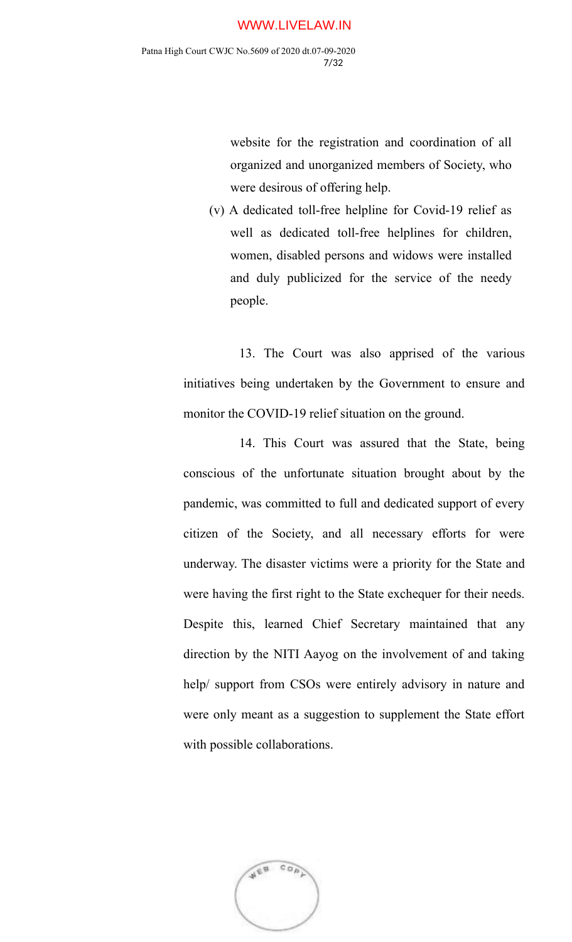website for the registration and coordination of all organized and unorganized members of Society, who were desirous of offering help.

(v) A dedicated toll-free helpline for Covid-19 relief as well as dedicated toll-free helplines for children, women, disabled persons and widows were installed and duly publicized for the service of the needy people.

13. The Court was also apprised of the various initiatives being undertaken by the Government to ensure and monitor the COVID-19 relief situation on the ground.

14. This Court was assured that the State, being conscious of the unfortunate situation brought about by the pandemic, was committed to full and dedicated support of every citizen of the Society, and all necessary efforts for were underway. The disaster victims were a priority for the State and were having the first right to the State exchequer for their needs. Despite this, learned Chief Secretary maintained that any direction by the NITI Aayog on the involvement of and taking help/ support from CSOs were entirely advisory in nature and were only meant as a suggestion to supplement the State effort with possible collaborations.

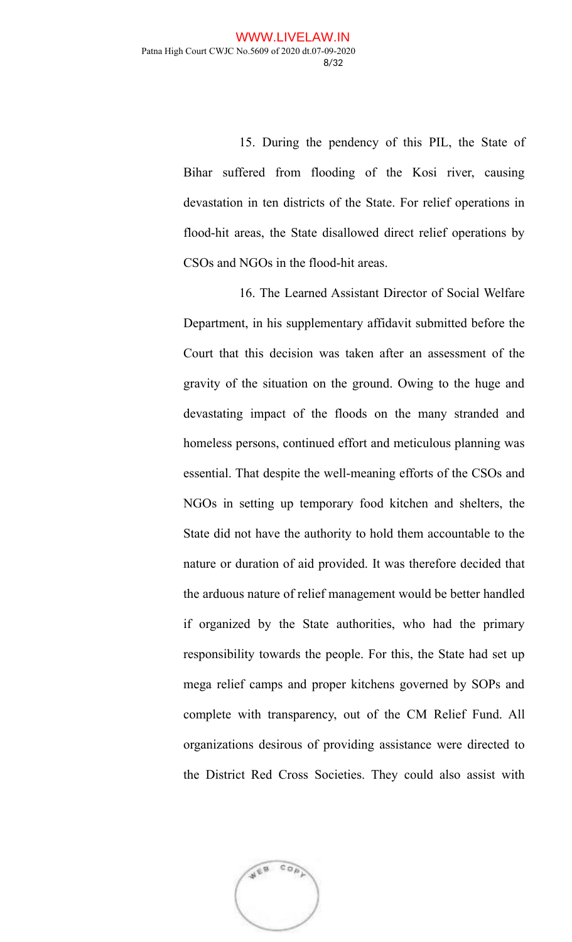15. During the pendency of this PIL, the State of Bihar suffered from flooding of the Kosi river, causing devastation in ten districts of the State. For relief operations in flood-hit areas, the State disallowed direct relief operations by CSOs and NGOs in the flood-hit areas.

16. The Learned Assistant Director of Social Welfare Department, in his supplementary affidavit submitted before the Court that this decision was taken after an assessment of the gravity of the situation on the ground. Owing to the huge and devastating impact of the floods on the many stranded and homeless persons, continued effort and meticulous planning was essential. That despite the well-meaning efforts of the CSOs and NGOs in setting up temporary food kitchen and shelters, the State did not have the authority to hold them accountable to the nature or duration of aid provided. It was therefore decided that the arduous nature of relief management would be better handled if organized by the State authorities, who had the primary responsibility towards the people. For this, the State had set up mega relief camps and proper kitchens governed by SOPs and complete with transparency, out of the CM Relief Fund. All organizations desirous of providing assistance were directed to the District Red Cross Societies. They could also assist with

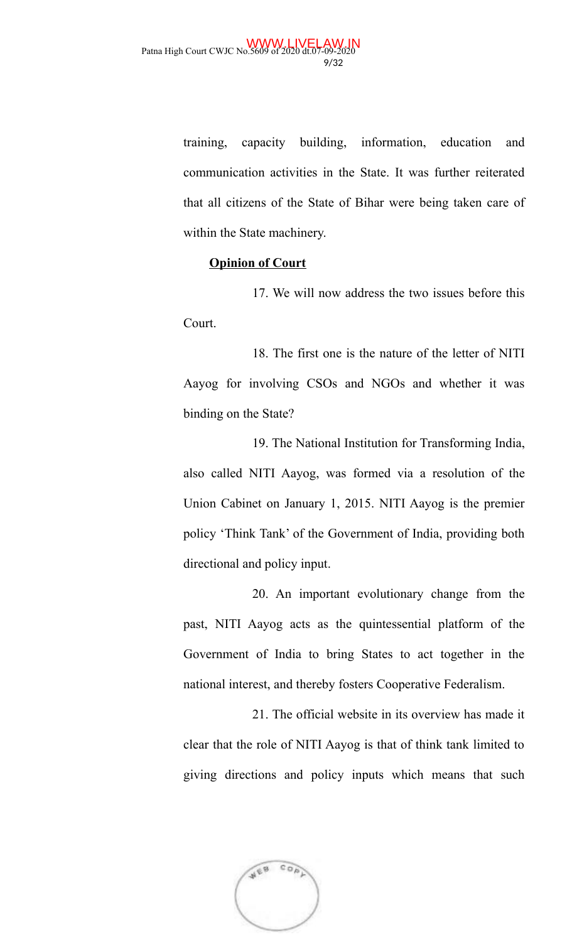training, capacity building, information, education and communication activities in the State. It was further reiterated that all citizens of the State of Bihar were being taken care of within the State machinery.

### **Opinion of Court**

17. We will now address the two issues before this Court.

18. The first one is the nature of the letter of NITI Aayog for involving CSOs and NGOs and whether it was binding on the State?

19. The National Institution for Transforming India, also called NITI Aayog, was formed via a resolution of the Union Cabinet on January 1, 2015. NITI Aayog is the premier policy 'Think Tank' of the Government of India, providing both directional and policy input.

20. An important evolutionary change from the past, NITI Aayog acts as the quintessential platform of the Government of India to bring States to act together in the national interest, and thereby fosters Cooperative Federalism.

21. The official website in its overview has made it clear that the role of NITI Aayog is that of think tank limited to giving directions and policy inputs which means that such

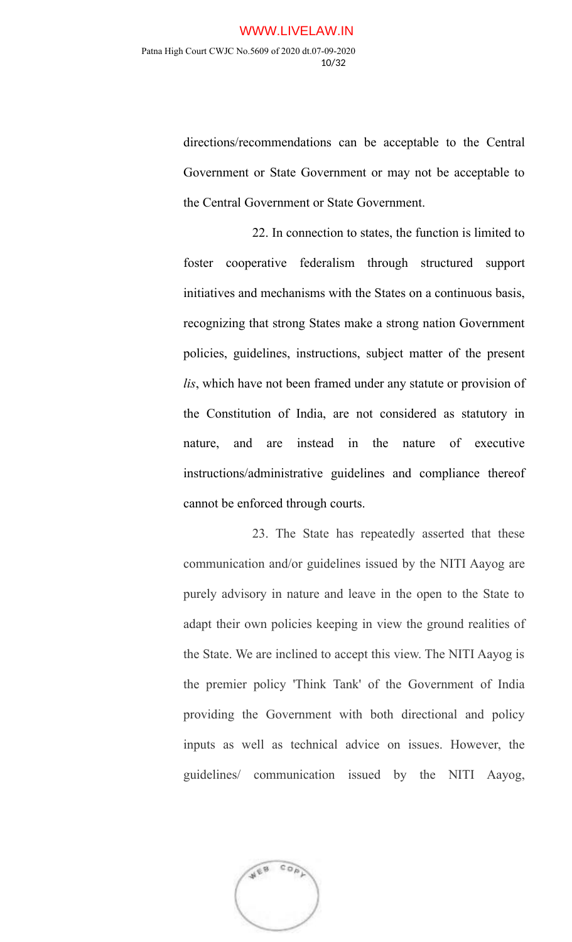directions/recommendations can be acceptable to the Central Government or State Government or may not be acceptable to the Central Government or State Government.

22. In connection to states, the function is limited to foster cooperative federalism through structured support initiatives and mechanisms with the States on a continuous basis, recognizing that strong States make a strong nation Government policies, guidelines, instructions, subject matter of the present *lis*, which have not been framed under any statute or provision of the Constitution of India, are not considered as statutory in nature, and are instead in the nature of executive instructions/administrative guidelines and compliance thereof cannot be enforced through courts.

23. The State has repeatedly asserted that these communication and/or guidelines issued by the NITI Aayog are purely advisory in nature and leave in the open to the State to adapt their own policies keeping in view the ground realities of the State. We are inclined to accept this view. The NITI Aayog is the premier policy 'Think Tank' of the Government of India providing the Government with both directional and policy inputs as well as technical advice on issues. However, the guidelines/ communication issued by the NITI Aayog,

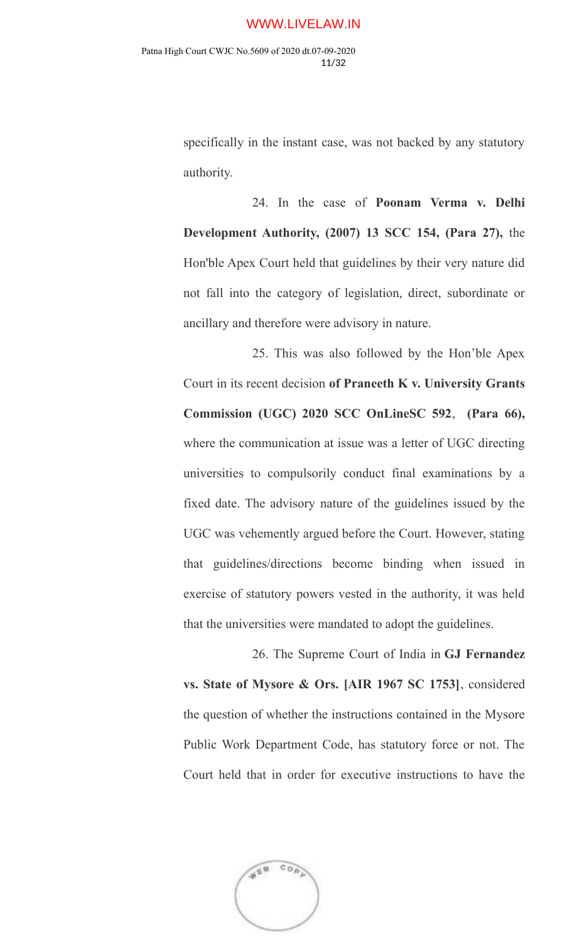specifically in the instant case, was not backed by any statutory authority.

24. In the case of **Poonam Verma v. Delhi Development Authority, (2007) 13 SCC 154, (Para 27),** the Hon'ble Apex Court held that guidelines by their very nature did not fall into the category of legislation, direct, subordinate or ancillary and therefore were advisory in nature.

25. This was also followed by the Hon'ble Apex Court in its recent decision **of Praneeth K v. University Grants Commission (UGC) 2020 SCC OnLineSC 592**, **(Para 66),** where the communication at issue was a letter of UGC directing universities to compulsorily conduct final examinations by a fixed date. The advisory nature of the guidelines issued by the UGC was vehemently argued before the Court. However, stating that guidelines/directions become binding when issued in exercise of statutory powers vested in the authority, it was held that the universities were mandated to adopt the guidelines.

26. The Supreme Court of India in **GJ Fernandez vs. State of Mysore & Ors. [AIR 1967 SC 1753]**, considered the question of whether the instructions contained in the Mysore Public Work Department Code, has statutory force or not. The Court held that in order for executive instructions to have the

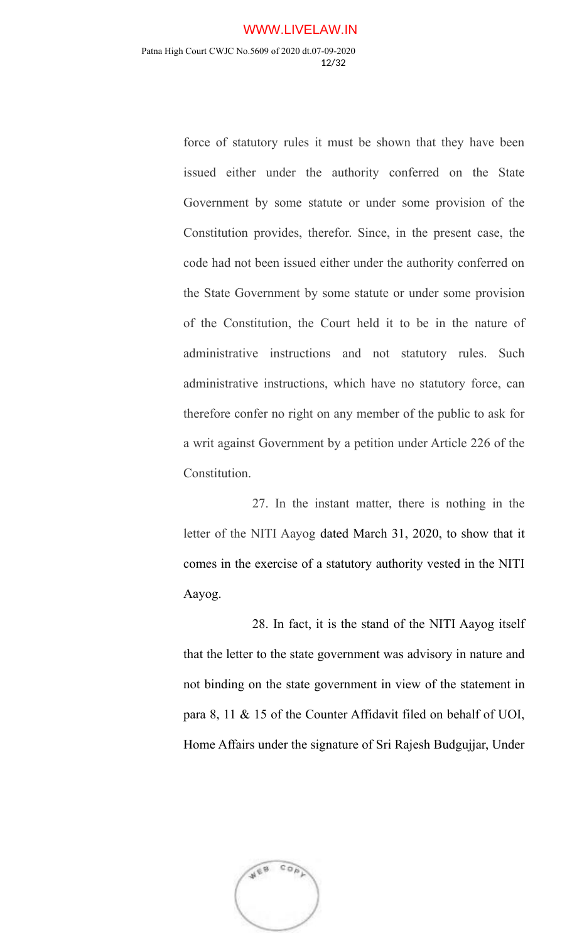force of statutory rules it must be shown that they have been issued either under the authority conferred on the State Government by some statute or under some provision of the Constitution provides, therefor. Since, in the present case, the code had not been issued either under the authority conferred on the State Government by some statute or under some provision of the Constitution, the Court held it to be in the nature of administrative instructions and not statutory rules. Such administrative instructions, which have no statutory force, can therefore confer no right on any member of the public to ask for a writ against Government by a petition under Article 226 of the Constitution.

27. In the instant matter, there is nothing in the letter of the NITI Aayog dated March 31, 2020, to show that it comes in the exercise of a statutory authority vested in the NITI Aayog.

28. In fact, it is the stand of the NITI Aayog itself that the letter to the state government was advisory in nature and not binding on the state government in view of the statement in para 8, 11 & 15 of the Counter Affidavit filed on behalf of UOI, Home Affairs under the signature of Sri Rajesh Budgujjar, Under

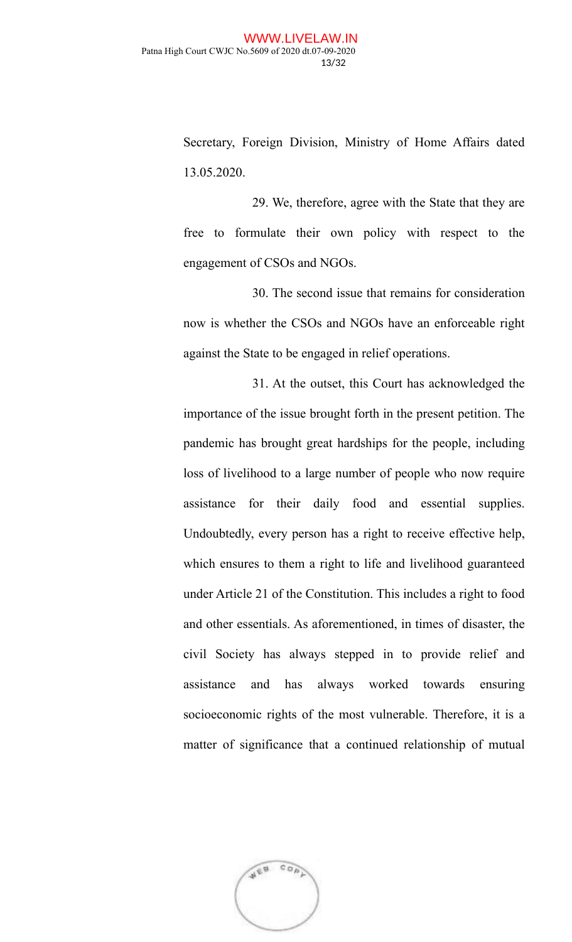Secretary, Foreign Division, Ministry of Home Affairs dated 13.05.2020.

29. We, therefore, agree with the State that they are free to formulate their own policy with respect to the engagement of CSOs and NGOs.

30. The second issue that remains for consideration now is whether the CSOs and NGOs have an enforceable right against the State to be engaged in relief operations.

31. At the outset, this Court has acknowledged the importance of the issue brought forth in the present petition. The pandemic has brought great hardships for the people, including loss of livelihood to a large number of people who now require assistance for their daily food and essential supplies. Undoubtedly, every person has a right to receive effective help, which ensures to them a right to life and livelihood guaranteed under Article 21 of the Constitution. This includes a right to food and other essentials. As aforementioned, in times of disaster, the civil Society has always stepped in to provide relief and assistance and has always worked towards ensuring socioeconomic rights of the most vulnerable. Therefore, it is a matter of significance that a continued relationship of mutual

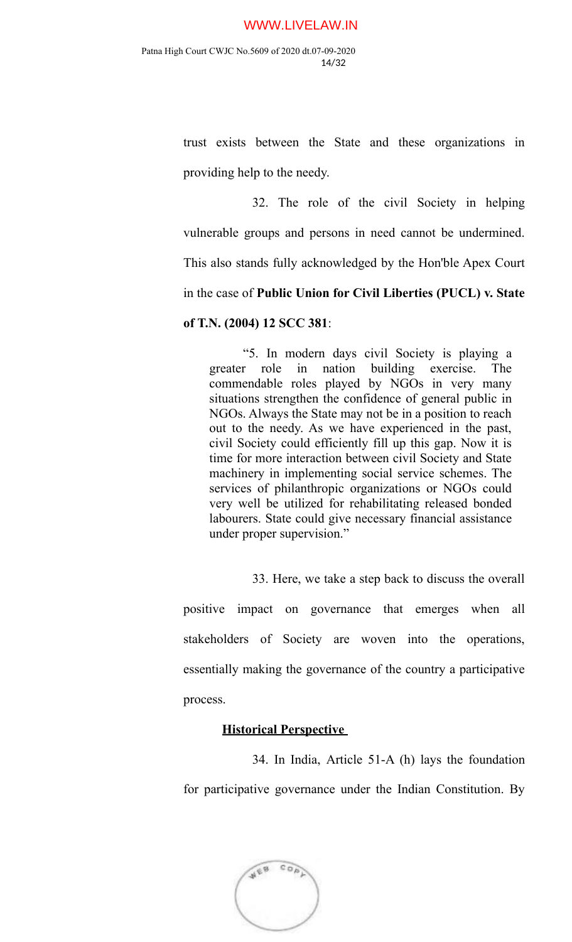trust exists between the State and these organizations in providing help to the needy.

32. The role of the civil Society in helping vulnerable groups and persons in need cannot be undermined. This also stands fully acknowledged by the Hon'ble Apex Court in the case of **Public Union for Civil Liberties (PUCL) v. State of T.N. (2004) 12 SCC 381**:

"5. In modern days civil Society is playing a greater role in nation building exercise. The commendable roles played by NGOs in very many situations strengthen the confidence of general public in NGOs. Always the State may not be in a position to reach out to the needy. As we have experienced in the past, civil Society could efficiently fill up this gap. Now it is time for more interaction between civil Society and State machinery in implementing social service schemes. The services of philanthropic organizations or NGOs could very well be utilized for rehabilitating released bonded labourers. State could give necessary financial assistance under proper supervision."

33. Here, we take a step back to discuss the overall

positive impact on governance that emerges when all stakeholders of Society are woven into the operations, essentially making the governance of the country a participative process.

### **Historical Perspective**

34. In India, Article 51-A (h) lays the foundation for participative governance under the Indian Constitution. By

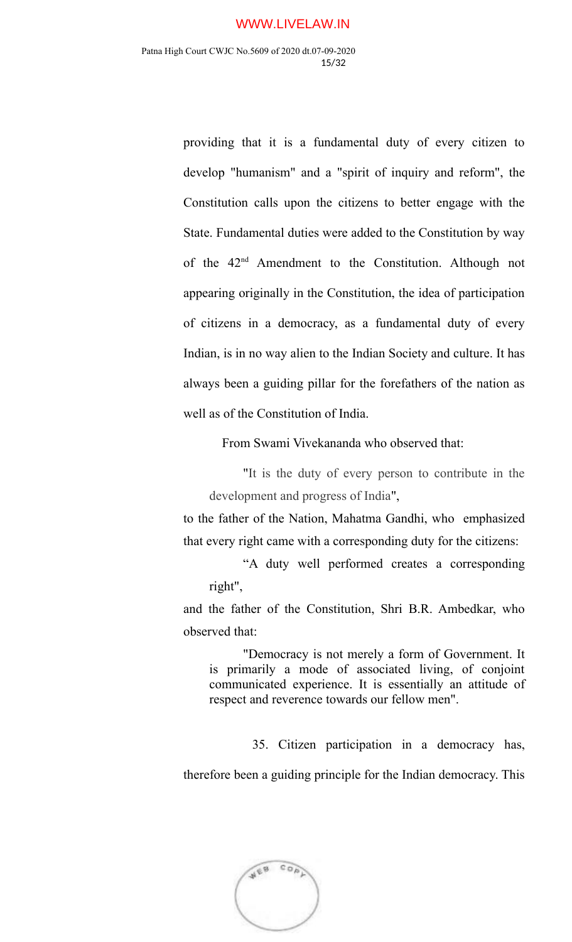providing that it is a fundamental duty of every citizen to develop "humanism" and a "spirit of inquiry and reform", the Constitution calls upon the citizens to better engage with the State. Fundamental duties were added to the Constitution by way of the 42nd Amendment to the Constitution. Although not appearing originally in the Constitution, the idea of participation of citizens in a democracy, as a fundamental duty of every Indian, is in no way alien to the Indian Society and culture. It has always been a guiding pillar for the forefathers of the nation as well as of the Constitution of India.

From Swami Vivekananda who observed that:

"It is the duty of every person to contribute in the development and progress of India",

to the father of the Nation, Mahatma Gandhi, who emphasized that every right came with a corresponding duty for the citizens:

"A duty well performed creates a corresponding right",

and the father of the Constitution, Shri B.R. Ambedkar, who observed that:

"Democracy is not merely a form of Government. It is primarily a mode of associated living, of conjoint communicated experience. It is essentially an attitude of respect and reverence towards our fellow men".

35. Citizen participation in a democracy has,

therefore been a guiding principle for the Indian democracy. This

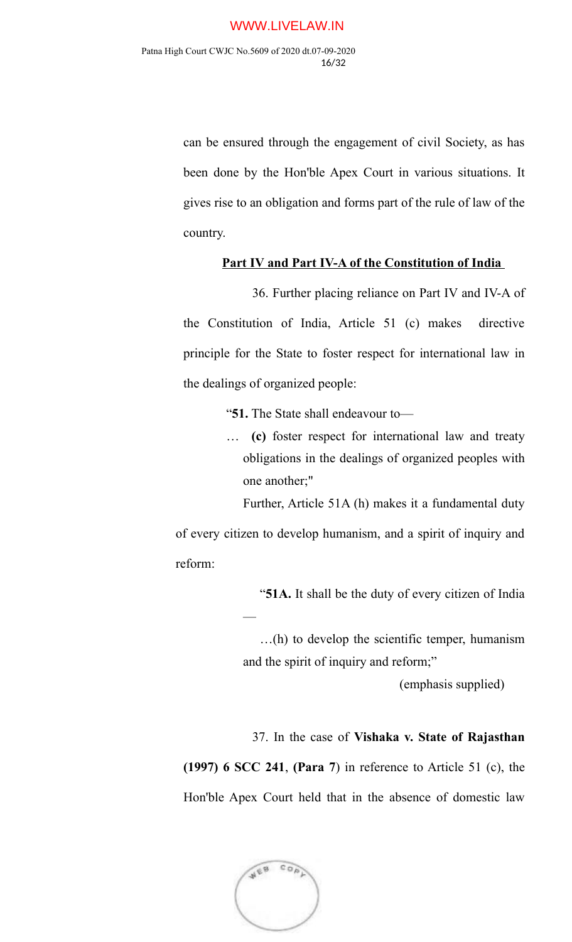can be ensured through the engagement of civil Society, as has been done by the Hon'ble Apex Court in various situations. It gives rise to an obligation and forms part of the rule of law of the country.

### **Part IV and Part IV-A of the Constitution of India**

36. Further placing reliance on Part IV and IV-A of the Constitution of India, Article 51 (c) makes directive principle for the State to foster respect for international law in the dealings of organized people:

"**51.** The State shall endeavour to—

… **(c)** foster respect for international law and treaty obligations in the dealings of organized peoples with one another;"

Further, Article 51A (h) makes it a fundamental duty

of every citizen to develop humanism, and a spirit of inquiry and reform:

"**51A.** It shall be the duty of every citizen of India

…(h) to develop the scientific temper, humanism and the spirit of inquiry and reform;"

(emphasis supplied)

37. In the case of **Vishaka v. State of Rajasthan**

**(1997) 6 SCC 241**, **(Para 7**) in reference to Article 51 (c), the Hon'ble Apex Court held that in the absence of domestic law



—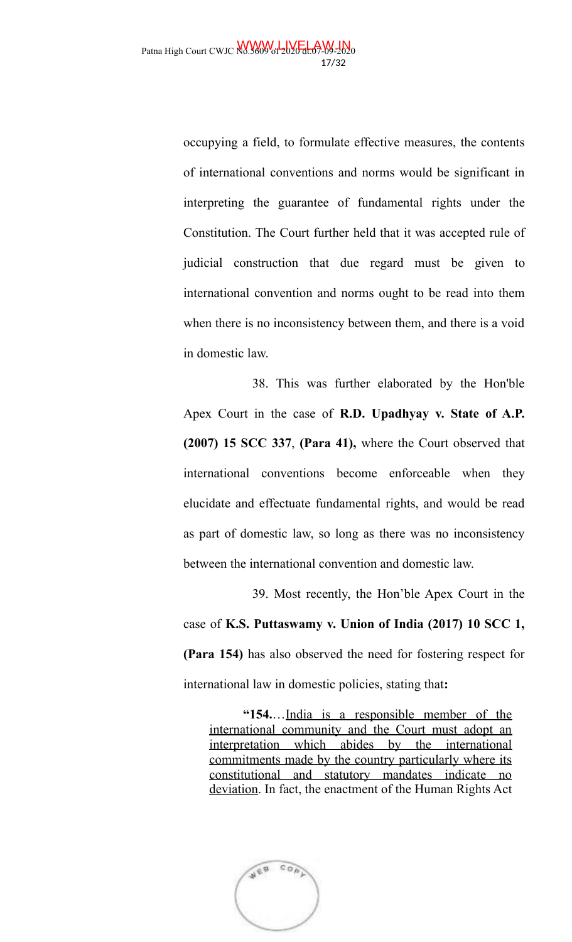occupying a field, to formulate effective measures, the contents of international conventions and norms would be significant in interpreting the guarantee of fundamental rights under the Constitution. The Court further held that it was accepted rule of judicial construction that due regard must be given to international convention and norms ought to be read into them when there is no inconsistency between them, and there is a void in domestic law.

38. This was further elaborated by the Hon'ble Apex Court in the case of **R.D. Upadhyay v. State of A.P. (2007) 15 SCC 337**, **(Para 41),** where the Court observed that international conventions become enforceable when they elucidate and effectuate fundamental rights, and would be read as part of domestic law, so long as there was no inconsistency between the international convention and domestic law.

39. Most recently, the Hon'ble Apex Court in the case of **K.S. Puttaswamy v. Union of India (2017) 10 SCC 1, (Para 154)** has also observed the need for fostering respect for international law in domestic policies, stating that**:**

**"154.**…India is a responsible member of the international community and the Court must adopt an interpretation which abides by the international commitments made by the country particularly where its constitutional and statutory mandates indicate no deviation. In fact, the enactment of the Human Rights Act

 $CO<sub>0</sub>$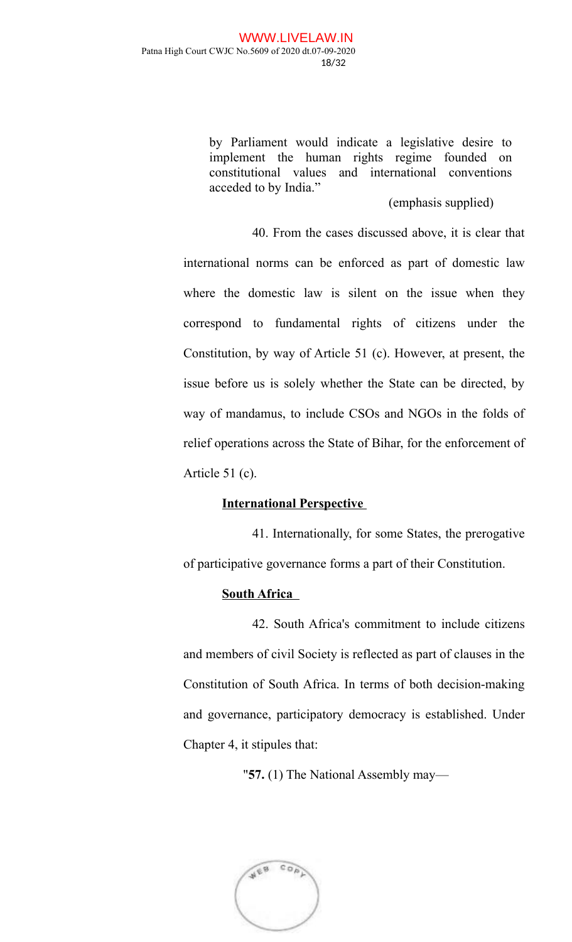by Parliament would indicate a legislative desire to implement the human rights regime founded on constitutional values and international conventions acceded to by India."

### (emphasis supplied)

40. From the cases discussed above, it is clear that international norms can be enforced as part of domestic law where the domestic law is silent on the issue when they correspond to fundamental rights of citizens under the Constitution, by way of Article 51 (c). However, at present, the issue before us is solely whether the State can be directed, by way of mandamus, to include CSOs and NGOs in the folds of relief operations across the State of Bihar, for the enforcement of Article 51 (c).

## **International Perspective**

41. Internationally, for some States, the prerogative of participative governance forms a part of their Constitution.

## **South Africa**

42. South Africa's commitment to include citizens and members of civil Society is reflected as part of clauses in the Constitution of South Africa. In terms of both decision-making and governance, participatory democracy is established. Under Chapter 4, it stipules that:

"**57.** (1) The National Assembly may—

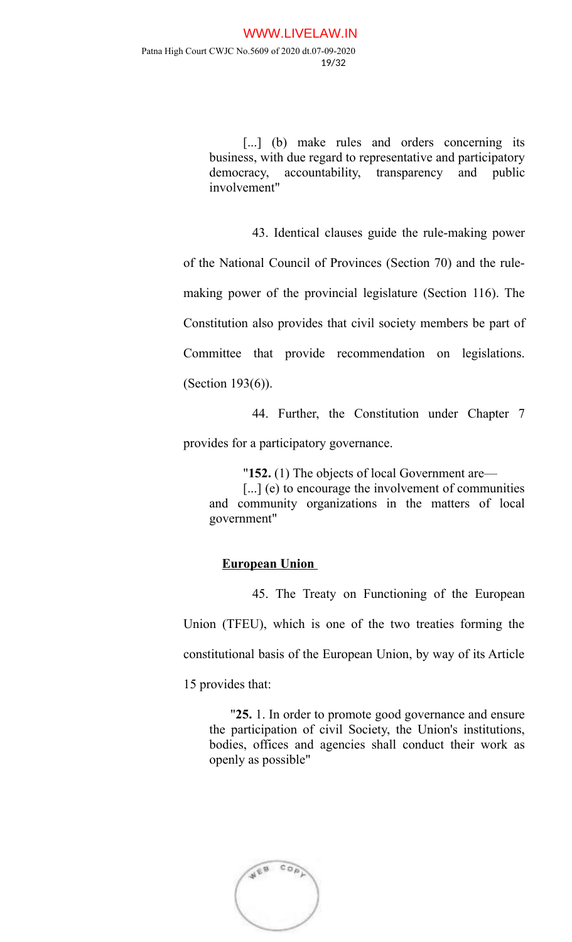[...] (b) make rules and orders concerning its business, with due regard to representative and participatory democracy, accountability, transparency and public involvement"

43. Identical clauses guide the rule-making power

of the National Council of Provinces (Section 70) and the rule-

making power of the provincial legislature (Section 116). The

Constitution also provides that civil society members be part of

Committee that provide recommendation on legislations.

(Section 193(6)).

44. Further, the Constitution under Chapter 7

provides for a participatory governance.

"**152.** (1) The objects of local Government are—

[...] (e) to encourage the involvement of communities and community organizations in the matters of local government"

### **European Union**

45. The Treaty on Functioning of the European

Union (TFEU), which is one of the two treaties forming the constitutional basis of the European Union, by way of its Article 15 provides that:

"**25.** 1. In order to promote good governance and ensure the participation of civil Society, the Union's institutions, bodies, offices and agencies shall conduct their work as openly as possible"

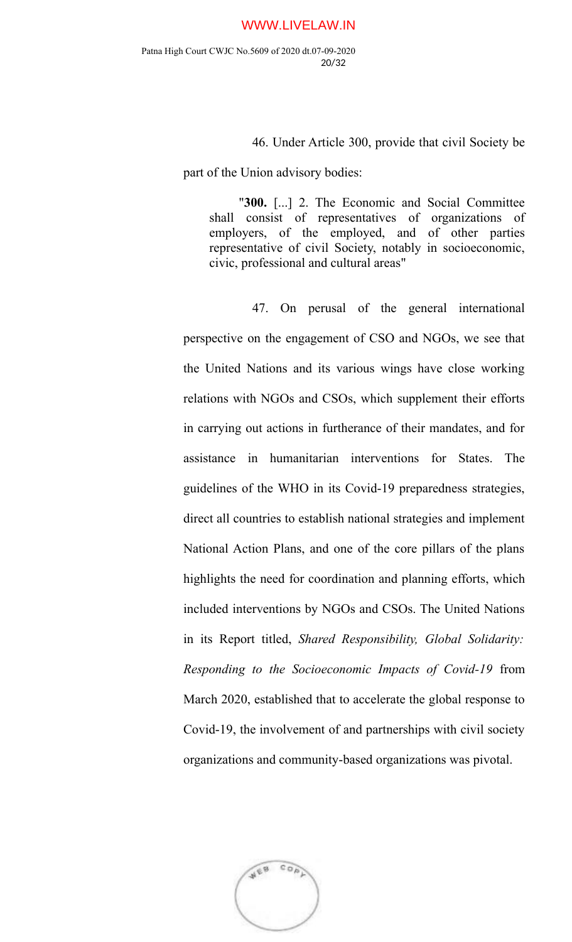46. Under Article 300, provide that civil Society be

part of the Union advisory bodies:

"**300.** [...] 2. The Economic and Social Committee shall consist of representatives of organizations of employers, of the employed, and of other parties representative of civil Society, notably in socioeconomic, civic, professional and cultural areas"

47. On perusal of the general international perspective on the engagement of CSO and NGOs, we see that the United Nations and its various wings have close working relations with NGOs and CSOs, which supplement their efforts in carrying out actions in furtherance of their mandates, and for assistance in humanitarian interventions for States. The guidelines of the WHO in its Covid-19 preparedness strategies, direct all countries to establish national strategies and implement National Action Plans, and one of the core pillars of the plans highlights the need for coordination and planning efforts, which included interventions by NGOs and CSOs. The United Nations in its Report titled, *Shared Responsibility, Global Solidarity: Responding to the Socioeconomic Impacts of Covid-19* from March 2020, established that to accelerate the global response to Covid-19, the involvement of and partnerships with civil society organizations and community-based organizations was pivotal.

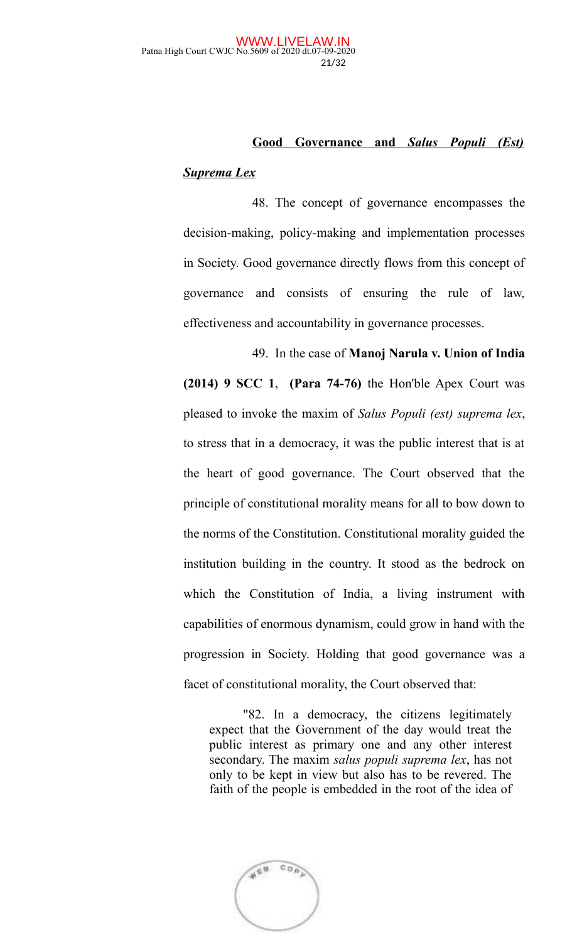# **Good Governance and** *Salus Populi (Est) Suprema Lex*

48. The concept of governance encompasses the decision-making, policy-making and implementation processes in Society. Good governance directly flows from this concept of governance and consists of ensuring the rule of law, effectiveness and accountability in governance processes.

49. In the case of **Manoj Narula v. Union of India (2014) 9 SCC 1**, **(Para 74-76)** the Hon'ble Apex Court was pleased to invoke the maxim of *Salus Populi (est) suprema lex*, to stress that in a democracy, it was the public interest that is at the heart of good governance. The Court observed that the principle of constitutional morality means for all to bow down to the norms of the Constitution. Constitutional morality guided the institution building in the country. It stood as the bedrock on which the Constitution of India, a living instrument with capabilities of enormous dynamism, could grow in hand with the progression in Society. Holding that good governance was a facet of constitutional morality, the Court observed that:

"82. In a democracy, the citizens legitimately expect that the Government of the day would treat the public interest as primary one and any other interest secondary. The maxim *salus populi suprema lex*, has not only to be kept in view but also has to be revered. The faith of the people is embedded in the root of the idea of

 $CO<sub>0</sub>$ WEB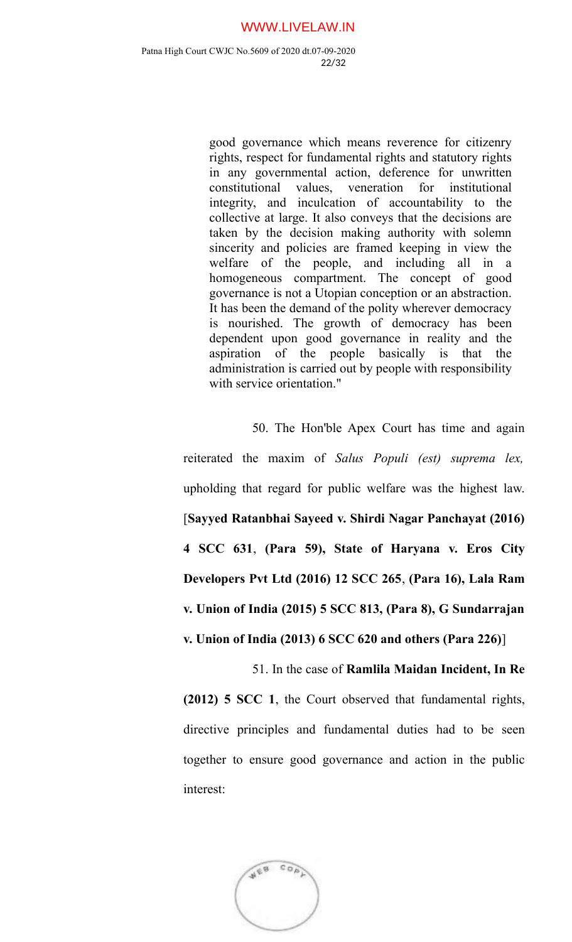good governance which means reverence for citizenry rights, respect for fundamental rights and statutory rights in any governmental action, deference for unwritten constitutional values, veneration for institutional integrity, and inculcation of accountability to the collective at large. It also conveys that the decisions are taken by the decision making authority with solemn sincerity and policies are framed keeping in view the welfare of the people, and including all in a homogeneous compartment. The concept of good governance is not a Utopian conception or an abstraction. It has been the demand of the polity wherever democracy is nourished. The growth of democracy has been dependent upon good governance in reality and the aspiration of the people basically is that the administration is carried out by people with responsibility with service orientation."

50. The Hon'ble Apex Court has time and again reiterated the maxim of *Salus Populi (est) suprema lex,* upholding that regard for public welfare was the highest law. [**Sayyed Ratanbhai Sayeed v. Shirdi Nagar Panchayat (2016) 4 SCC 631**, **(Para 59), State of Haryana v. Eros City Developers Pvt Ltd (2016) 12 SCC 265**, **(Para 16), Lala Ram v. Union of India (2015) 5 SCC 813, (Para 8), G Sundarrajan v. Union of India (2013) 6 SCC 620 and others (Para 226)**]

51. In the case of **Ramlila Maidan Incident, In Re**

**(2012) 5 SCC 1**, the Court observed that fundamental rights, directive principles and fundamental duties had to be seen together to ensure good governance and action in the public interest:

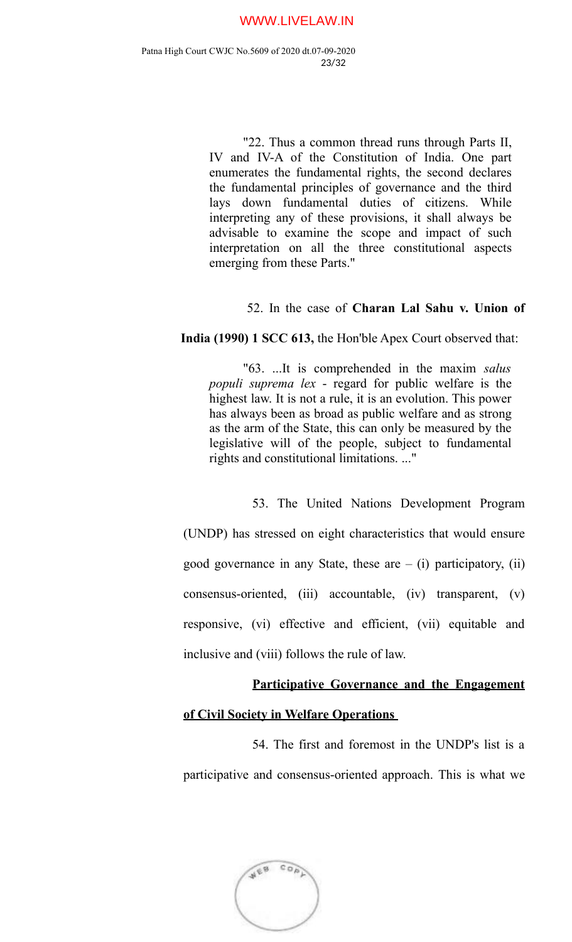"22. Thus a common thread runs through Parts II, IV and IV-A of the Constitution of India. One part enumerates the fundamental rights, the second declares the fundamental principles of governance and the third lays down fundamental duties of citizens. While interpreting any of these provisions, it shall always be advisable to examine the scope and impact of such interpretation on all the three constitutional aspects emerging from these Parts."

### 52. In the case of **Charan Lal Sahu v. Union of**

**India (1990) 1 SCC 613,** the Hon'ble Apex Court observed that:

"63. ...It is comprehended in the maxim *salus populi suprema lex* - regard for public welfare is the highest law. It is not a rule, it is an evolution. This power has always been as broad as public welfare and as strong as the arm of the State, this can only be measured by the legislative will of the people, subject to fundamental rights and constitutional limitations. ..."

53. The United Nations Development Program (UNDP) has stressed on eight characteristics that would ensure good governance in any State, these are  $-$  (i) participatory, (ii) consensus-oriented, (iii) accountable, (iv) transparent, (v) responsive, (vi) effective and efficient, (vii) equitable and inclusive and (viii) follows the rule of law.

# **Participative Governance and the Engagement**

### **of Civil Society in Welfare Operations**

54. The first and foremost in the UNDP's list is a participative and consensus-oriented approach. This is what we

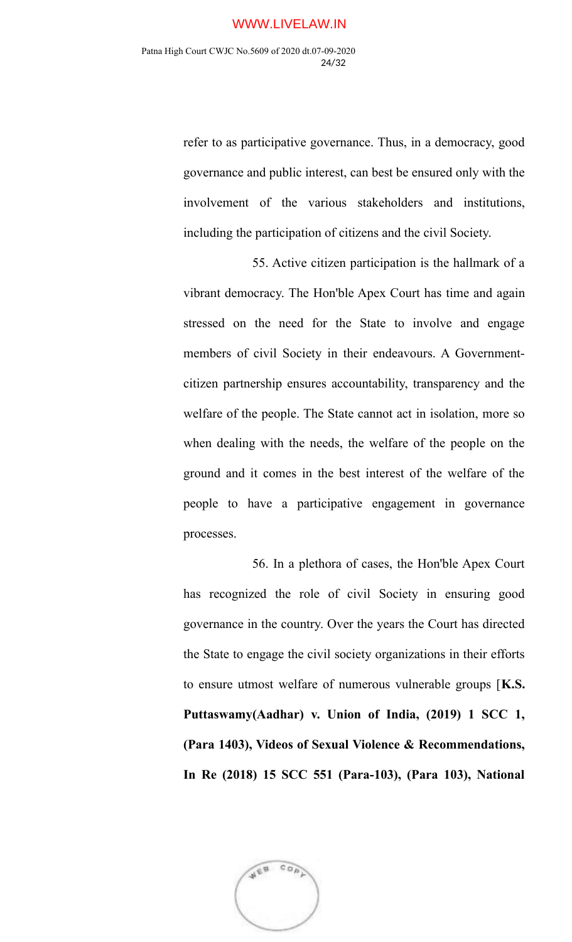refer to as participative governance. Thus, in a democracy, good governance and public interest, can best be ensured only with the involvement of the various stakeholders and institutions, including the participation of citizens and the civil Society.

55. Active citizen participation is the hallmark of a vibrant democracy. The Hon'ble Apex Court has time and again stressed on the need for the State to involve and engage members of civil Society in their endeavours. A Governmentcitizen partnership ensures accountability, transparency and the welfare of the people. The State cannot act in isolation, more so when dealing with the needs, the welfare of the people on the ground and it comes in the best interest of the welfare of the people to have a participative engagement in governance processes.

56. In a plethora of cases, the Hon'ble Apex Court has recognized the role of civil Society in ensuring good governance in the country. Over the years the Court has directed the State to engage the civil society organizations in their efforts to ensure utmost welfare of numerous vulnerable groups [**K.S. Puttaswamy(Aadhar) v. Union of India, (2019) 1 SCC 1, (Para 1403), Videos of Sexual Violence & Recommendations, In Re (2018) 15 SCC 551 (Para-103), (Para 103), National**

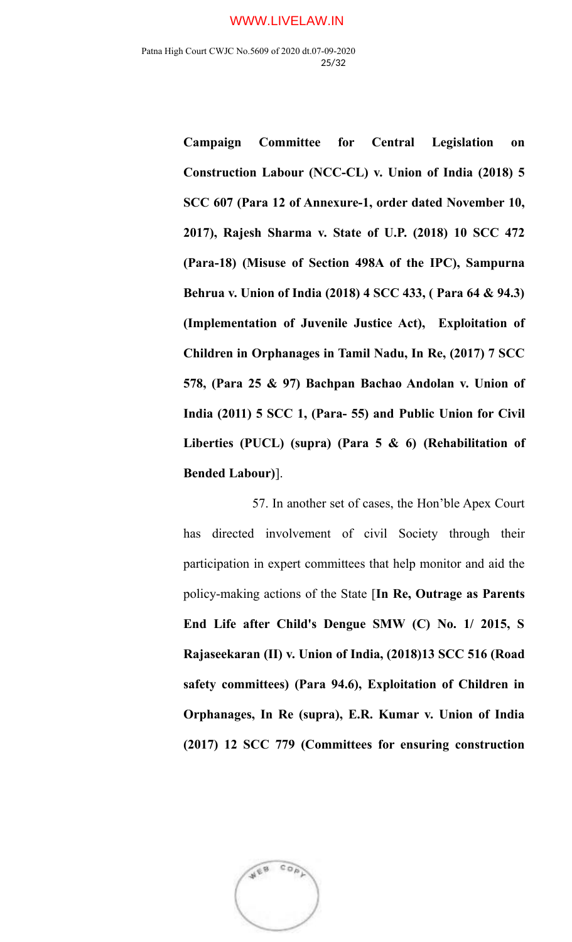**Campaign Committee for Central Legislation on Construction Labour (NCC-CL) v. Union of India (2018) 5 SCC 607 (Para 12 of Annexure-1, order dated November 10, 2017), Rajesh Sharma v. State of U.P. (2018) 10 SCC 472 (Para-18) (Misuse of Section 498A of the IPC), Sampurna Behrua v. Union of India (2018) 4 SCC 433, ( Para 64 & 94.3) (Implementation of Juvenile Justice Act), Exploitation of Children in Orphanages in Tamil Nadu, In Re, (2017) 7 SCC 578, (Para 25 & 97) Bachpan Bachao Andolan v. Union of India (2011) 5 SCC 1, (Para- 55) and Public Union for Civil Liberties (PUCL) (supra) (Para 5 & 6) (Rehabilitation of Bended Labour)**].

57. In another set of cases, the Hon'ble Apex Court has directed involvement of civil Society through their participation in expert committees that help monitor and aid the policy-making actions of the State [**In Re, Outrage as Parents End Life after Child's Dengue SMW (C) No. 1/ 2015, S Rajaseekaran (II) v. Union of India, (2018)13 SCC 516 (Road safety committees) (Para 94.6), Exploitation of Children in Orphanages, In Re (supra), E.R. Kumar v. Union of India (2017) 12 SCC 779 (Committees for ensuring construction**

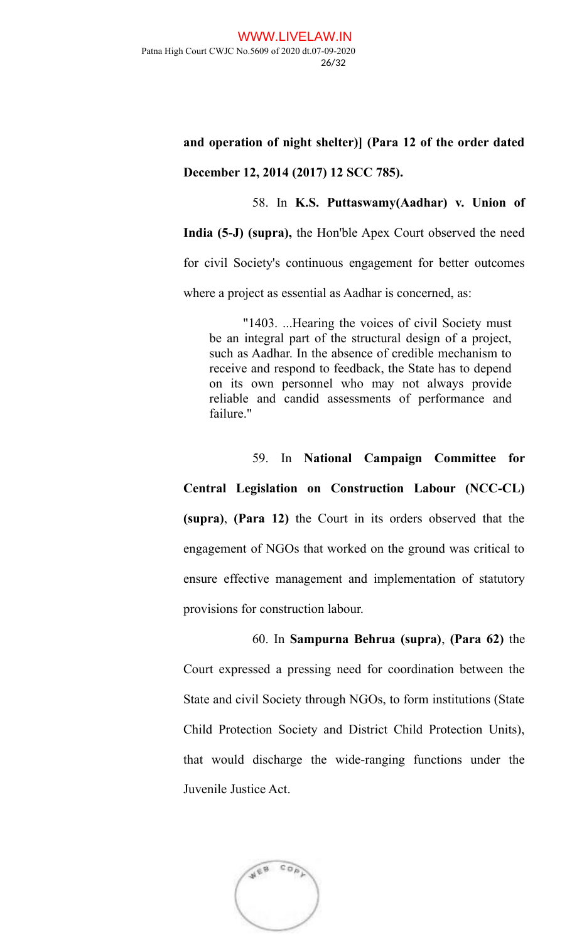## **and operation of night shelter)] (Para 12 of the order dated**

### **December 12, 2014 (2017) 12 SCC 785).**

58. In **K.S. Puttaswamy(Aadhar) v. Union of**

**India (5-J) (supra),** the Hon'ble Apex Court observed the need

for civil Society's continuous engagement for better outcomes

where a project as essential as Aadhar is concerned, as:

"1403. ...Hearing the voices of civil Society must be an integral part of the structural design of a project, such as Aadhar. In the absence of credible mechanism to receive and respond to feedback, the State has to depend on its own personnel who may not always provide reliable and candid assessments of performance and failure."

## 59. In **National Campaign Committee for**

**Central Legislation on Construction Labour (NCC-CL) (supra)**, **(Para 12)** the Court in its orders observed that the engagement of NGOs that worked on the ground was critical to ensure effective management and implementation of statutory provisions for construction labour.

# 60. In **Sampurna Behrua (supra)**, **(Para 62)** the

Court expressed a pressing need for coordination between the State and civil Society through NGOs, to form institutions (State Child Protection Society and District Child Protection Units), that would discharge the wide-ranging functions under the Juvenile Justice Act.

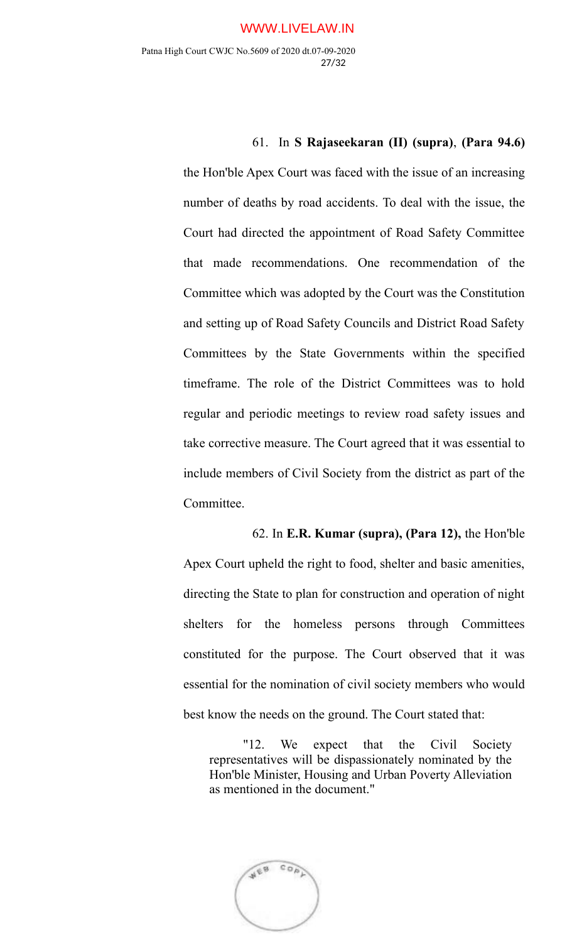### 61. In **S Rajaseekaran (II) (supra)**, **(Para 94.6)**

the Hon'ble Apex Court was faced with the issue of an increasing number of deaths by road accidents. To deal with the issue, the Court had directed the appointment of Road Safety Committee that made recommendations. One recommendation of the Committee which was adopted by the Court was the Constitution and setting up of Road Safety Councils and District Road Safety Committees by the State Governments within the specified timeframe. The role of the District Committees was to hold regular and periodic meetings to review road safety issues and take corrective measure. The Court agreed that it was essential to include members of Civil Society from the district as part of the Committee.

# 62. In **E.R. Kumar (supra), (Para 12),** the Hon'ble

Apex Court upheld the right to food, shelter and basic amenities, directing the State to plan for construction and operation of night shelters for the homeless persons through Committees constituted for the purpose. The Court observed that it was essential for the nomination of civil society members who would best know the needs on the ground. The Court stated that:

"12. We expect that the Civil Society representatives will be dispassionately nominated by the Hon'ble Minister, Housing and Urban Poverty Alleviation as mentioned in the document."

AEB  $CO<sub>0</sub>$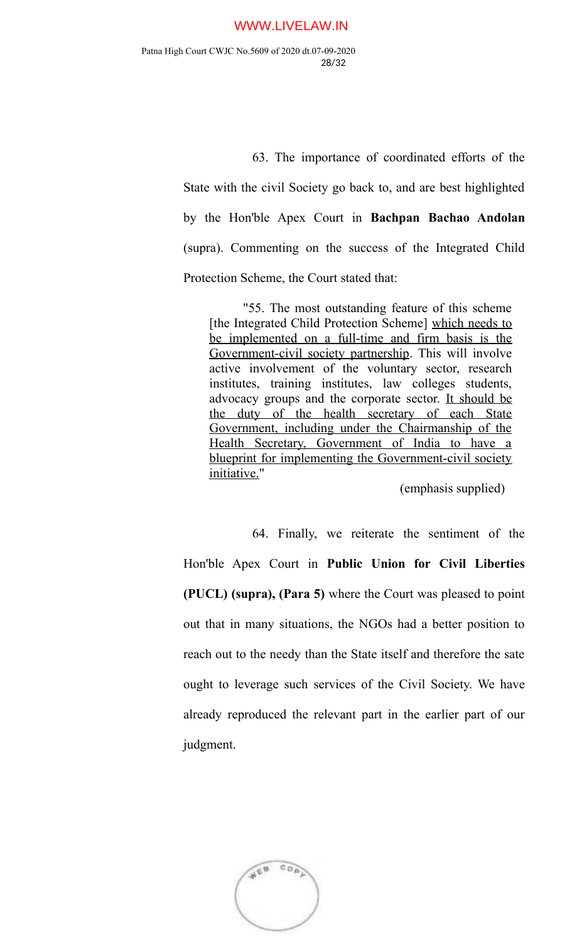63. The importance of coordinated efforts of the State with the civil Society go back to, and are best highlighted by the Hon'ble Apex Court in **Bachpan Bachao Andolan** (supra). Commenting on the success of the Integrated Child Protection Scheme, the Court stated that:

"55. The most outstanding feature of this scheme [the Integrated Child Protection Scheme] which needs to be implemented on a full-time and firm basis is the Government-civil society partnership. This will involve active involvement of the voluntary sector, research institutes, training institutes, law colleges students, advocacy groups and the corporate sector. It should be the duty of the health secretary of each State Government, including under the Chairmanship of the Health Secretary, Government of India to have a blueprint for implementing the Government-civil society initiative."

(emphasis supplied)

64. Finally, we reiterate the sentiment of the Hon'ble Apex Court in **Public Union for Civil Liberties (PUCL) (supra), (Para 5)** where the Court was pleased to point out that in many situations, the NGOs had a better position to reach out to the needy than the State itself and therefore the sate ought to leverage such services of the Civil Society. We have already reproduced the relevant part in the earlier part of our judgment.

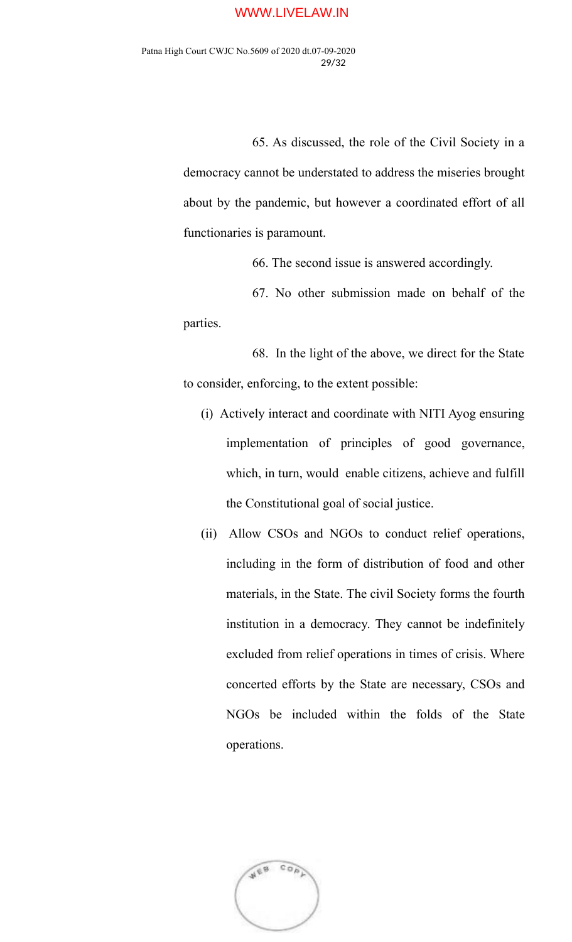65. As discussed, the role of the Civil Society in a democracy cannot be understated to address the miseries brought about by the pandemic, but however a coordinated effort of all functionaries is paramount.

66. The second issue is answered accordingly.

67. No other submission made on behalf of the parties.

68. In the light of the above, we direct for the State to consider, enforcing, to the extent possible:

- (i) Actively interact and coordinate with NITI Ayog ensuring implementation of principles of good governance, which, in turn, would enable citizens, achieve and fulfill the Constitutional goal of social justice.
- (ii) Allow CSOs and NGOs to conduct relief operations, including in the form of distribution of food and other materials, in the State. The civil Society forms the fourth institution in a democracy. They cannot be indefinitely excluded from relief operations in times of crisis. Where concerted efforts by the State are necessary, CSOs and NGOs be included within the folds of the State operations.

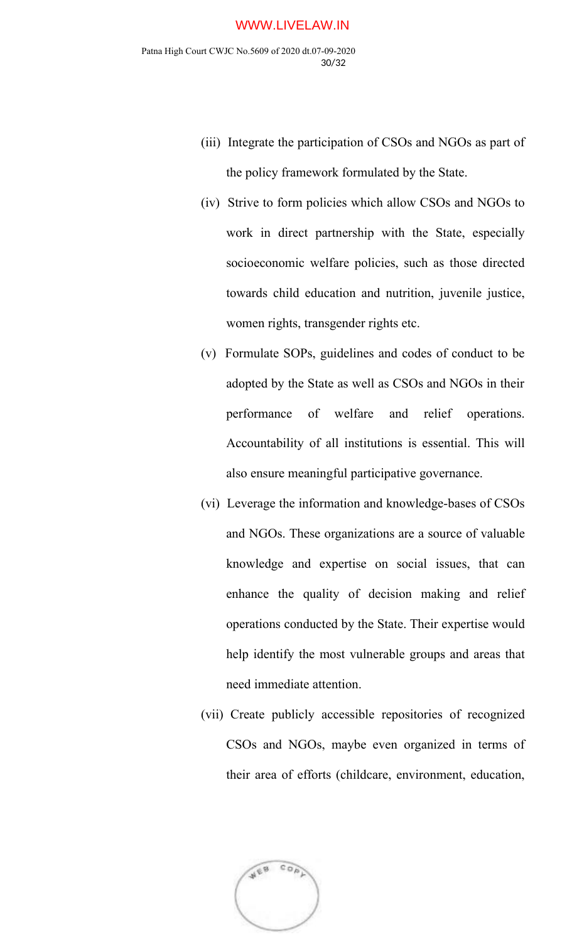- (iii) Integrate the participation of CSOs and NGOs as part of the policy framework formulated by the State.
- (iv) Strive to form policies which allow CSOs and NGOs to work in direct partnership with the State, especially socioeconomic welfare policies, such as those directed towards child education and nutrition, juvenile justice, women rights, transgender rights etc.
- (v) Formulate SOPs, guidelines and codes of conduct to be adopted by the State as well as CSOs and NGOs in their performance of welfare and relief operations. Accountability of all institutions is essential. This will also ensure meaningful participative governance.
- (vi) Leverage the information and knowledge-bases of CSOs and NGOs. These organizations are a source of valuable knowledge and expertise on social issues, that can enhance the quality of decision making and relief operations conducted by the State. Their expertise would help identify the most vulnerable groups and areas that need immediate attention.
- (vii) Create publicly accessible repositories of recognized CSOs and NGOs, maybe even organized in terms of their area of efforts (childcare, environment, education,

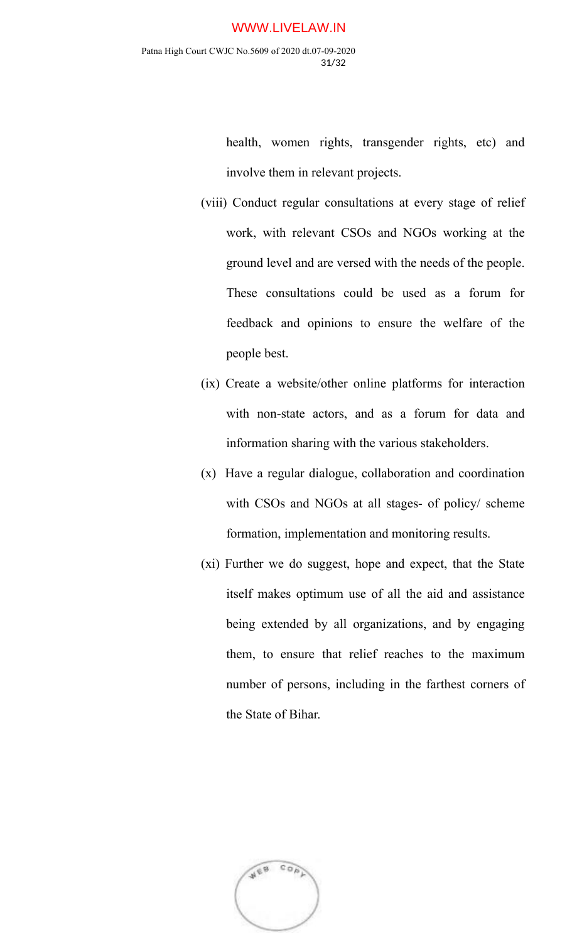health, women rights, transgender rights, etc) and involve them in relevant projects.

- (viii) Conduct regular consultations at every stage of relief work, with relevant CSOs and NGOs working at the ground level and are versed with the needs of the people. These consultations could be used as a forum for feedback and opinions to ensure the welfare of the people best.
- (ix) Create a website/other online platforms for interaction with non-state actors, and as a forum for data and information sharing with the various stakeholders.
- (x) Have a regular dialogue, collaboration and coordination with CSOs and NGOs at all stages- of policy/ scheme formation, implementation and monitoring results.
- (xi) Further we do suggest, hope and expect, that the State itself makes optimum use of all the aid and assistance being extended by all organizations, and by engaging them, to ensure that relief reaches to the maximum number of persons, including in the farthest corners of the State of Bihar.